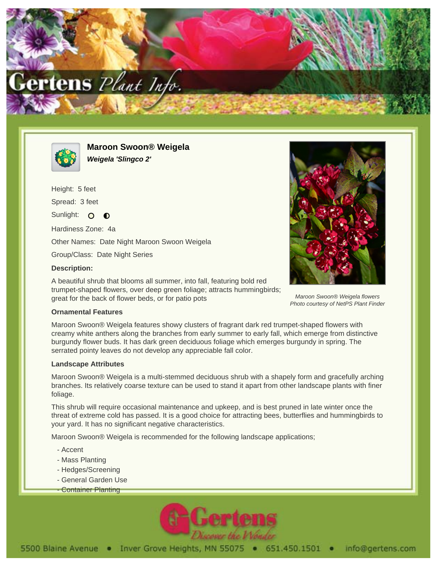



**Maroon Swoon® Weigela Weigela 'Slingco 2'**

Height: 5 feet Spread: 3 feet Sunlight: O  $\bullet$ Hardiness Zone: 4a Other Names: Date Night Maroon Swoon Weigela Group/Class: Date Night Series **Description:**

A beautiful shrub that blooms all summer, into fall, featuring bold red trumpet-shaped flowers, over deep green foliage; attracts hummingbirds; great for the back of flower beds, or for patio pots



Maroon Swoon® Weigela flowers Photo courtesy of NetPS Plant Finder

## **Ornamental Features**

Maroon Swoon® Weigela features showy clusters of fragrant dark red trumpet-shaped flowers with creamy white anthers along the branches from early summer to early fall, which emerge from distinctive burgundy flower buds. It has dark green deciduous foliage which emerges burgundy in spring. The serrated pointy leaves do not develop any appreciable fall color.

## **Landscape Attributes**

Maroon Swoon® Weigela is a multi-stemmed deciduous shrub with a shapely form and gracefully arching branches. Its relatively coarse texture can be used to stand it apart from other landscape plants with finer foliage.

This shrub will require occasional maintenance and upkeep, and is best pruned in late winter once the threat of extreme cold has passed. It is a good choice for attracting bees, butterflies and hummingbirds to your yard. It has no significant negative characteristics.

Maroon Swoon® Weigela is recommended for the following landscape applications;

- Accent
- Mass Planting
- Hedges/Screening
- General Garden Use
- Container Planting